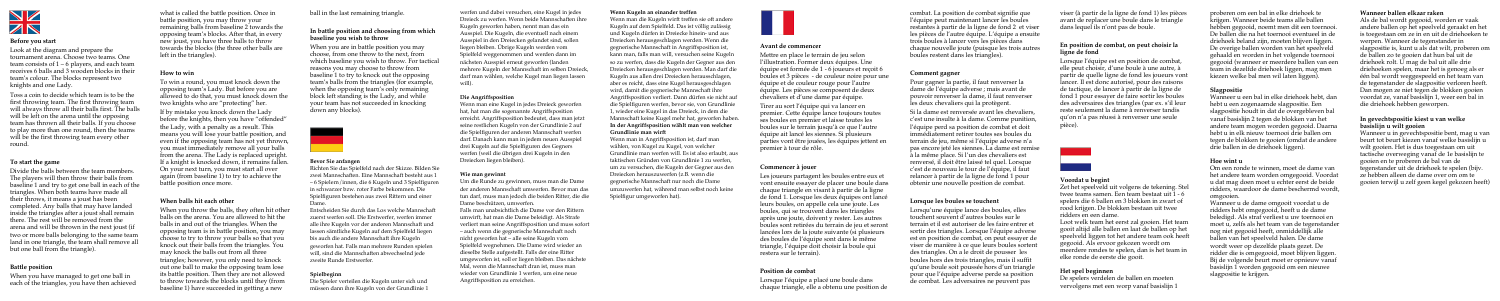

#### **Before you start**

Look at the diagram and prepare the tournament arena. Choose two teams. One team consists of 1 – 6 players, and each team receives 6 balls and 3 wooden blocks in their team's colour. The blocks represent two knights and one Lady.

Toss a coin to decide which team is to be the first throwing team. The first throwing team will always throw all their balls first. The balls will be left on the arena until the opposing team has thrown all their balls. If you choose to play more than one round, then the teams will be the first throwing team every other round.

#### **To start the game**

Divide the balls between the team members. The players will then throw their balls from baseline 1 and try to get one ball in each of the triangles. When both teams have made all their throws, it means a joust has been completed. Any balls that may have landed inside the triangles after a joust shall remain there. The rest will be removed from the arena and will be thrown in the next joust (if two or more balls belonging to the same team land in one triangle, the team shall remove all but one ball from the triangle).

#### **Battle position**

When you have managed to get one ball in each of the triangles, you have then achieved what is called the battle position. Once in battle position, you may throw your remaining balls from baseline 2 towards the opposing team's blocks. After that, in every new joust, you have three balls to throw towards the blocks (the three other balls are left in the triangles).

#### **How to win**

To win a round, you must knock down the opposing team's Lady. But before you are allowed to do that, you must knock down the two knights who are "protecting" her.

If by mistake you knock down the Lady before the knights, then you have "offended" the Lady, with a penalty as a result. This means you will lose your battle position, and even if the opposing team has not yet thrown, you must immediately remove all your balls from the arena. The Lady is replaced upright. If a knight is knocked down, it remains fallen. On your next turn, you must start all over again (from baseline 1) to try to achieve the battle position once more.

#### **When balls hit each other**

When you throw the balls, they often hit other balls on the arena. You are allowed to hit the balls in and out of the triangles. When the opposing team is in battle position, you may choose to try to throw your balls so that you knock out their balls from the triangles. You may knock the balls out from all three triangles; however, you only need to knock out one ball to make the opposing team lose its battle position. Then they are not allowed to throw towards the blocks until they (from baseline 1) have succeeded in getting a new

ball in the last remaining triangle.

#### **In battle position and choosing from which baseline you wish to throw**

When you are in battle position you may choose, from one throw to the next, from which baseline you wish to throw. For tactical reasons you may choose to throw from baseline 1 to try to knock out the opposing team's balls from the triangles (for example, when the opposing team's only remaining block left standing is the Lady, and while your team has not succeeded in knocking down any blocks).



#### **Voordat u begint**

Zet het speelveld uit volgens de tekening. Stel twee teams samen. Een team bestaat uit 1 - 6 spelers die 6 ballen en 3 blokken in zwart of rood krijgen. De blokken bestaan uit twee ridders en een dame.

Loot welk team het eerst zal gooien. Het team gooit altijd alle ballen en laat de ballen op het speelveld liggen tot het andere team ook heeft gegooid. Als ervoor gekozen wordt om meerdere rondes te spelen, dan is het team in elke ronde de eerste die gooit.

#### **Het spel beginnen**

De spelers verdelen de ballen en moeten vervolgens met een worp vanaf basislijn 1

proberen om een bal in elke driehoek te krijgen. Wanneer beide teams alle ballen hebben gegooid, noemt men dit een toernooi. De ballen die na het toernooi eventueel in de driehoek beland zijn, moeten blijven liggen. De overige ballen worden van het speelveld gehaald en worden in het volgende toernooi gegooid (wanneer er meerdere ballen van een team in dezelfde driehoek liggen, mag men kiezen welke bal men wil laten liggen).

#### **Slagpositie**

Wanneer u een bal in elke driehoek hebt, dan hebt u een zogenaamde slagpositie. Een slagpositie houdt in dat de overgebleven bal vanaf basislijn 2 tegen de blokken van het andere team mogen worden gegooid. Daarna hebt u in elk nieuw toernooi drie ballen om tegen de blokken te gooien (omdat de andere drie ballen in de driehoek liggen).

#### **Hoe wint u**

Om een ronde te winnen, moet de dame van het andere team worden omgegooid. Voordat u dat mag doen moet u echter eerst de beide ridders, waardoor de dame beschermd wordt, omgooien.

Wanneer u de dame omgooit voordat u de ridders hebt omgegooid, heeft u de dame beledigd. Als straf verliest u uw toernooi en moet u, zelfs als het team van de tegenstander nog niet gegooid heeft, onmiddellijk alle ballen van het speelveld halen. De dame wordt weer op dezelfde plaats gezet. De ridder die is omgegooid, moet blijven liggen. Bij de volgende beurt moet er opnieuw vanaf basislijn 1 worden gegooid om een nieuwe slagpositie te krijgen.

#### **Wanneer ballen elkaar raken**

Als de bal wordt gegooid, worden er vaak andere ballen op het speelveld geraakt en het is toegestaan om ze in en uit de driehoeken te werpen. Wanneer de tegenstander in slagpositie is, kunt u als dat wilt, proberen om de ballen zo te gooien dat hun bal uit de driehoek rolt. U mag de bal uit alle drie driehoeken spelen, maar het is genoeg als er één bal wordt weggespeeld en het team van de tegenstander de slagpositie verloren heeft. Dan mogen ze niet tegen de blokken gooien voordat ze, vanaf basislijn 1, weer een bal in die driehoek hebben geworpen.

#### **In gevechtspositie kiest u van welke basislijn u wilt gooien**

Wanneer u in gevechtspositie bent, mag u van beurt tot beurt kiezen vanaf welke basislijn u wilt gooien. Het is dus toegestaan om uit tactische overweging vanaf de 1e basislijn te gooien en te proberen de bal van de tegenstander uit de driehoek te spelen (bijv. ze hebben alleen de dame over om om te gooien terwijl u zelf geen kegel gekozen heeft)

#### **Avant de commencer**

Mettre en place le terrain de jeu selon l'illustration. Former deux équipes. Une équipe est formée de 1 - 6 joueurs et reçoit 6 boules et 3 pièces - de couleur noire pour une équipe et de couleur rouge pour l'autre équipe. Les pièces se composent de deux chevaliers et d'une dame par équipe.

Tirer au sort l'équipe qui va lancer en premier. Cette équipe lance toujours toutes ses boules en premier et laisse toutes les boules sur le terrain jusqu'à ce que l'autre équipe ait lancé les siennes. Si plusieurs parties vont être jouées, les équipes jettent en premier à tour de rôle.

#### **Commencer à jouer**

Les joueurs partagent les boules entre eux et vont ensuite essayer de placer une boule dans chaque triangle en visant à partir de la ligne de fond 1. Lorsque les deux équipes ont lancé leurs boules, on appelle cela une joute. Les boules, qui se trouvent dans les triangles après une joute, doivent y rester. Les autres boules sont retirées du terrain de jeu et seront lancées lors de la joute suivante (si plusieurs des boules de l'équipe sont dans le même triangle, l'équipe doit choisir la boule qui restera sur le terrain).

#### **Position de combat**

Lorsque l'équipe a placé une boule dans chaque triangle, elle a obtenu une position de

#### **Bevor Sie anfangen**

Richten Sie das Spielfeld nach der Skizze. Bilden Sie zwei Mannschaften. Eine Mannschaft besteht aus 1 – 6 Spielern/innen, die 6 Kugeln und 3 Spielfiguren in schwarzer bzw. roter Farbe bekommen. Die Spielfiguren bestehen aus zwei Rittern und einer Dame.

Entscheiden Sie durch das Los welche Mannschaft zuerst werfen soll. Die Erstwerfer, werfen immer alle ihre Kugeln vor der anderen Mannschaft und lassen sämtliche Kugeln auf dem Spielfeld liegen bis auch die andere Mannschaft ihre Kugeln geworfen hat. Falls man mehrere Runden spielen will, sind die Mannschaften abwechselnd jede zweite Runde Erstwerfer.

#### **Spielbeginn**

Die Spieler verteilen die Kugeln unter sich und müssen dann ihre Kugeln von der Grundlinie 1

werfen und dabei versuchen, eine Kugel in jedes Dreieck zu werfen. Wenn beide Mannschaften ihre Kugeln geworfen haben, nennt man das ein Ausspiel. Die Kugeln, die eventuell nach einem Ausspiel in den Dreiecken gelandet sind, sollen liegen bleiben. Übrige Kugeln werden vom Spielfeld weggenommen und werden dann im nächsten Ausspiel erneut geworfen (landen mehrere Kugeln der Mannschaft im selben Dreieck, darf man wählen, welche Kugel man liegen lassen will).

#### **Die Angriffsposition**

Wenn man eine Kugel in jedes Dreieck geworfen hat, hat man die sogenannte Angriffsposition erreicht. Angriffsposition bedeutet, dass man jetzt seine restlichen Kugeln von der Grundlinie 2 auf die Spielfiguren der anderen Mannschaft werfen darf. Danach kann man in jedem neuen Ausspiel drei Kugeln auf die Spielfiguren des Gegners werfen (weil die übrigen drei Kugeln in den Dreiecken liegen bleiben).

#### **Wie man gewinnt**

Um die Runde zu gewinnen, muss man die Dame der anderen Mannschaft umwerfen. Bevor man das tun darf, muss man jedoch die beiden Ritter, die die Dame beschützen, umwerfen.

Falls man unabsichtlich die Dame vor den Rittern umwirft, hat man die Dame beleidigt. Als Strafe verliert man seine Angriffsposition und muss sofort – auch wenn die gegnerische Mannschaft noch nicht geworfen hat – alle seine Kugeln vom Spielfeld wegnehmen. Die Dame wird wieder an dieselbe Stelle aufgestellt. Falls der eine Ritter umgeworfen ist, soll er liegen bleiben. Das nächste Mal, wenn die Mannschaft dran ist, muss man wieder von Grundlinie 1 werfen, um eine neue Angriffsposition zu erreichen.

#### **Wenn Kugeln an einander treffen**

Wenn man die Kugeln wirft treffen sie oft andere Kugeln auf dem Spielfeld. Das ist völlig zulässig und Kugeln dürfen in Dreiecke hinein- und aus Dreiecken herausgeschlagen werden. Wenn die gegnerische Mannschaft in Angriffsposition ist, kann man, falls man will, versuchen seine Kugeln so zu werfen, dass die Kugeln der Gegner aus den Dreiecken herausgeschlagen werden. Man darf die Kugeln aus allen drei Dreiecken herausschlagen, aber es reicht, dass eine Kugel herausgeschlagen wird, damit die gegnerische Mannschaft ihre Angriffsposition verliert. Dann dürfen sie nicht auf die Spielfiguren werfen, bevor sie, von Grundlinie 1, wieder eine Kugel in das Dreieck, in dem die Mannschaft keine Kugel mehr hat, geworfen haben. **In der Angriffsposition wählt man von welcher Grundlinie man wirft**

Wenn man in Angriffsposition ist, darf man wählen, von Kugel zu Kugel, von welcher Grundlinie man werfen will. Es ist also erlaubt, aus taktischen Gründen von Grundlinie 1 zu werfen, um zu versuchen, die Kugeln der Gegner aus den Dreiecken herauszuwerfen (z.B. wenn die gegnerische Mannschaft nur noch die Dame umzuwerfen hat, während man selbst noch keine Spielfigur umgeworfen hat).



combat. La position de combat signifie que l'équipe peut maintenant lancer les boules restantes à partir de la ligne de fond 2 et viser les pièces de l'autre équipe. L'équipe a ensuite trois boules à lancer vers les pièces dans chaque nouvelle joute (puisque les trois autres boules restent dans les triangles).

#### **Comment gagner**

Pour gagner la partie, il faut renverser la dame de l'équipe adverse ; mais avant de pouvoir renverser la dame, il faut renverser les deux chevaliers qui la protègent.

Si la dame est renversée avant les chevaliers, c'est une insulte à la dame. Comme punition, l'équipe perd sa position de combat et doit immédiatement retirer toutes ses boules du terrain de jeu, même si l'équipe adverse n'a pas encore jeté les siennes. La dame est remise à la même place. Si l'un des chevaliers est renversé, il doit être laissé tel quel. Lorsque c'est de nouveau le tour de l'équipe, il faut relancer à partir de la ligne de fond 1 pour obtenir une nouvelle position de combat.

#### **Lorsque les boules se touchent**

Lorsqu'une équipe lance des boules, elles touchent souvent d'autres boules sur le terrain et il est autoriser de les faire entrer et sortir des triangles. Lorsque l'équipe adverse est en position de combat, on peut essayer de viser de manière à ce que leurs boules sortent des triangles. On a le droit de pousser les boules hors des trois triangles, mais il suffit qu'une boule soit poussée hors d'un triangle pour que l'équipe adverse perde sa position de combat. Les adversaires ne peuvent pas

viser (à partir de la ligne de fond 1) les pièces avant de replacer une boule dans le triangle dans lequel ils n'ont pas de boule.

#### **En position de combat, on peut choisir la ligne de fond**

Lorsque l'équipe est en position de combat, elle peut choisir, d'une boule à une autre, à partir de quelle ligne de fond les joueurs von lancer. Il est donc autorisé, pour des raisons de tactique, de lancer à partir de la ligne de fond 1 pour essayer de faire sortir les boules des adversaires des triangles (par ex. s'il leur reste seulement la dame à renverser tandis qu'on n'a pas réussi à renverser une seule pièce).